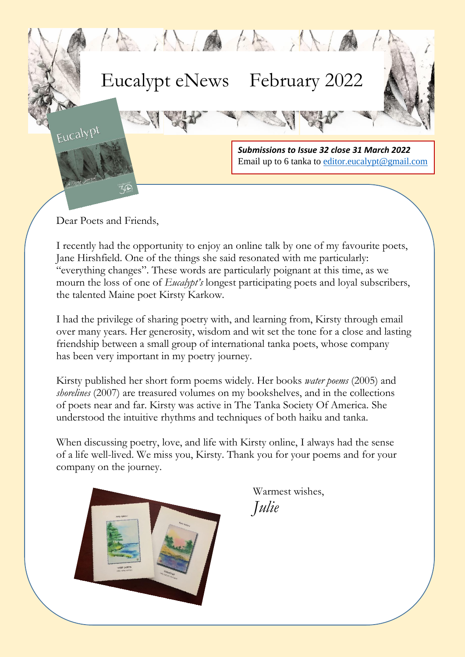

Dear Poets and Friends,

 $\overline{\phantom{a}}$ 

I recently had the opportunity to enjoy an online talk by one of my favourite poets, Jane Hirshfield. One of the things she said resonated with me particularly: "everything changes". These words are particularly poignant at this time, as we mourn the loss of one of *Eucalypt's* longest participating poets and loyal subscribers, the talented Maine poet Kirsty Karkow.

I had the privilege of sharing poetry with, and learning from, Kirsty through email over many years. Her generosity, wisdom and wit set the tone for a close and lasting friendship between a small group of international tanka poets, whose company has been very important in my poetry journey.

of poets near and far. Kirsty was active in The Tanka Society Of America. She Kirsty published her short form poems widely. Her books *water poems* (2005) and *shorelines* (2007) are treasured volumes on my bookshelves, and in the collections understood the intuitive rhythms and techniques of both haiku and tanka.

When discussing poetry, love, and life with Kirsty online, I always had the sense of a life well-lived. We miss you, Kirsty. Thank you for your poems and for your company on the journey.



Warmest wishes, *Julie*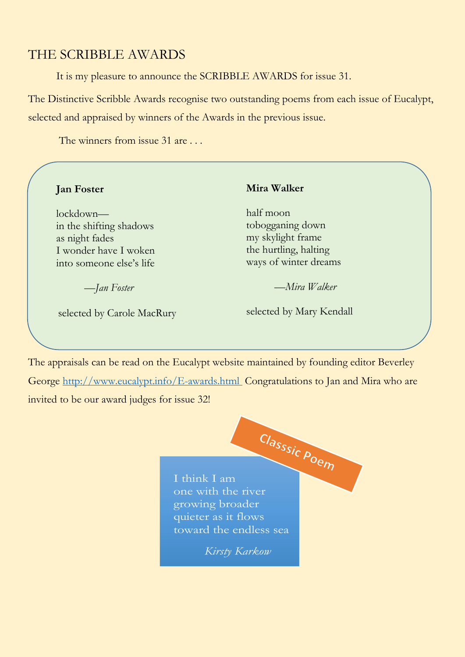# THE SCRIBBLE AWARDS

It is my pleasure to announce the SCRIBBLE AWARDS for issue 31.

The Distinctive Scribble Awards recognise two outstanding poems from each issue of Eucalypt, selected and appraised by winners of the Awards in the previous issue.

The winners from issue 31 are . . .

| <b>Jan Foster</b>          | <b>Mira Walker</b>       |  |
|----------------------------|--------------------------|--|
| lockdown—                  | half moon                |  |
| in the shifting shadows    | tobogganing down         |  |
| as night fades             | my skylight frame        |  |
| I wonder have I woken      | the hurtling, halting    |  |
| into someone else's life   | ways of winter dreams    |  |
| —Jan Foster                | —Mira Walker             |  |
| selected by Carole MacRury | selected by Mary Kendall |  |

The appraisals can be read on the Eucalypt website maintained by founding editor Beverley George<http://www.eucalypt.info/E-awards.html>Congratulations to Jan and Mira who are invited to be our award judges for issue 32!



*Kirsty Karkow*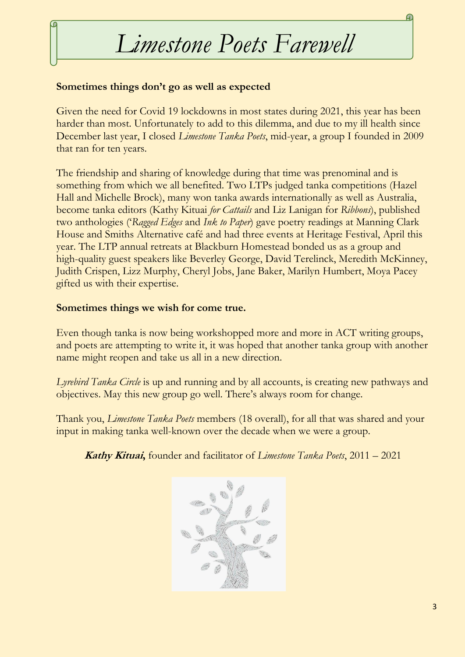# *Limestone Poets Farewell*

### **Sometimes things don't go as well as expected**

(r

Given the need for Covid 19 lockdowns in most states during 2021, this year has been harder than most. Unfortunately to add to this dilemma, and due to my ill health since December last year, I closed *Limestone Tanka Poets*, mid-year, a group I founded in 2009 that ran for ten years.

The friendship and sharing of knowledge during that time was prenominal and is something from which we all benefited. Two LTPs judged tanka competitions (Hazel Hall and Michelle Brock), many won tanka awards internationally as well as Australia, become tanka editors (Kathy Kituai *for Cattails* and Liz Lanigan for *Ribbons*), published two anthologies ('*Ragged Edges* and *Ink to Paper*) gave poetry readings at Manning Clark House and Smiths Alternative café and had three events at Heritage Festival, April this year. The LTP annual retreats at Blackburn Homestead bonded us as a group and high-quality guest speakers like Beverley George, David Terelinck, Meredith McKinney, Judith Crispen, Lizz Murphy, Cheryl Jobs, Jane Baker, Marilyn Humbert, Moya Pacey gifted us with their expertise.

### **Sometimes things we wish for come true.**

Even though tanka is now being workshopped more and more in ACT writing groups, and poets are attempting to write it, it was hoped that another tanka group with another name might reopen and take us all in a new direction.

*Lyrebird Tanka Circle* is up and running and by all accounts, is creating new pathways and objectives. May this new group go well. There's always room for change.

Thank you, *Limestone Tanka Poets* members (18 overall), for all that was shared and your input in making tanka well-known over the decade when we were a group.

## **Kathy Kituai,** founder and facilitator of *Limestone Tanka Poets*, 2011 – 2021

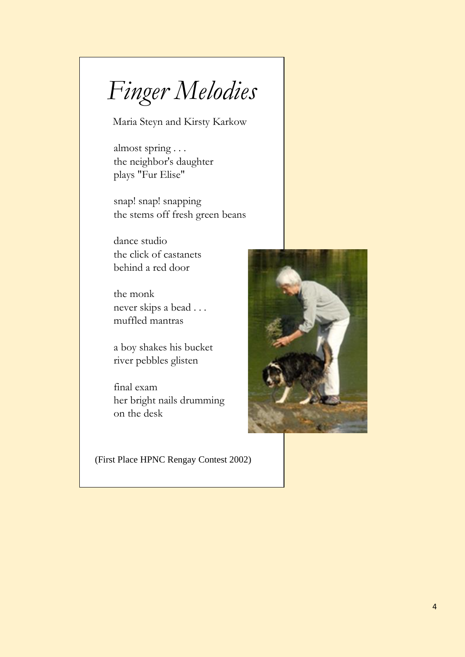*Finger Melodies*

Maria Steyn and Kirsty Karkow

almost spring . . . the neighbor's daughter plays "Fur Elise"

snap! snapping the stems off fresh green beans

dance studio the click of castanets behind a red door

the monk never skips a bead . . . muffled mantras

a boy shakes his bucket river pebbles glisten

final exam her bright nails drumming on the desk

(First Place HPNC Rengay Contest 2002)

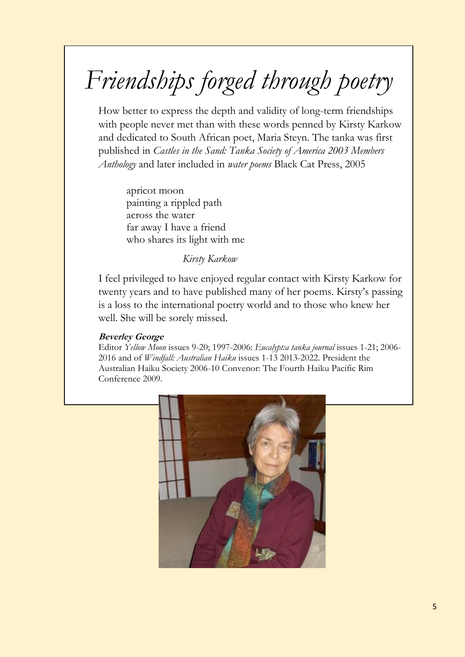# *Friendships forged through poetry*

How better to express the depth and validity of long-term friendships with people never met than with these words penned by Kirsty Karkow and dedicated to South African poet, Maria Steyn. The tanka was first published in *Castles in the Sand: Tanka Society of America 2003 Members Anthology* and later included in *water poems* Black Cat Press, 2005

apricot moon painting a rippled path across the water far away I have a friend who shares its light with me

*Kirsty Karkow*

I feel privileged to have enjoyed regular contact with Kirsty Karkow for twenty years and to have published many of her poems. Kirsty's passing is a loss to the international poetry world and to those who knew her well. She will be sorely missed.

### **Beverley George**

Editor *Yellow Moon* issues 9-20; 1997-2006: *Eucalypt:a tanka journal* issues 1-21; 2006- 2016 and of *Windfall: Australian Haiku* issues 1-13 2013-2022. President the Australian Haiku Society 2006-10 Convenor: The Fourth Haiku Pacific Rim Conference 2009.

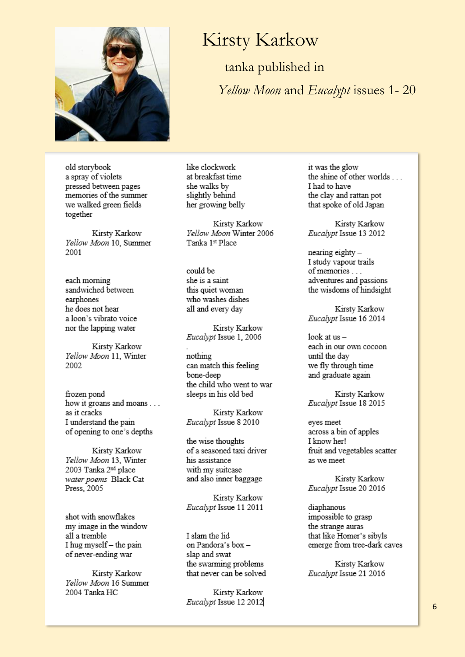

# **Kirsty Karkow**

tanka published in *Yellow Moon* and *Eucalypt* issues 1-20

old storybook a spray of violets pressed between pages memories of the summer we walked green fields together

Kirsty Karkow Yellow Moon 10, Summer 2001

each morning sandwiched between earphones he does not hear a loon's vibrato voice. nor the lapping water

Kirsty Karkow Yellow Moon 11, Winter 2002

frozen pond how it groans and moans . . . as it cracks I understand the pain of opening to one's depths

Kirsty Karkow Yellow Moon 13, Winter 2003 Tanka 2nd place water poems Black Cat Press, 2005

shot with snowflakes my image in the window all a tremble I hug myself - the pain of never-ending war

Kirsty Karkow Yellow Moon 16 Summer 2004 Tanka HC

like clockwork at breakfast time she walks by slightly behind her growing belly

Kirsty Karkow Yellow Moon Winter 2006 Tanka 1st Place

could be she is a saint this quiet woman who washes dishes all and every day

Kirsty Karkow Eucalypt Issue 1, 2006

nothing can match this feeling bone-deep the child who went to war sleeps in his old bed

Kirsty Karkow Eucalypt Issue 8 2010

the wise thoughts of a seasoned taxi driver his assistance with my suitcase and also inner baggage

Kirsty Karkow Eucalypt Issue 11 2011

I slam the lid on Pandora's box slap and swat the swarming problems that never can be solved

Kirsty Karkow Eucalypt Issue 12 2012 it was the glow the shine of other worlds... I had to have the clay and rattan pot that spoke of old Japan

Kirsty Karkow Eucalypt Issue 13 2012

nearing eighty-I study vapour trails of memories . . . adventures and passions the wisdoms of hindsight

Kirsty Karkow Eucalypt Issue 16 2014

look at  $us$ each in our own cocoon until the day we fly through time and graduate again

Kirsty Karkow Eucalypt Issue 18 2015

eyes meet across a bin of apples I know her! fruit and vegetables scatter as we meet

Kirsty Karkow Eucalypt Issue 20 2016

diaphanous impossible to grasp the strange auras that like Homer's sibyls emerge from tree-dark caves

Kirsty Karkow Eucalypt Issue 21 2016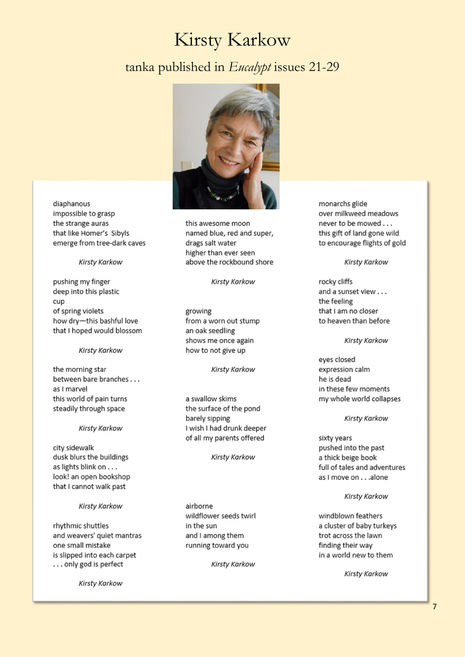# **Kirsty Karkow**

# tanka published in Eucalypt issues 21-29



diaphanous impossible to grasp the strange auras that like Homer's Sibyls emerge from tree-dark caves

#### **Kirsty Karkow**

pushing my finger deep into this plastic cup of spring violets how dry-this bashful love that I hoped would blossom

#### **Kirsty Karkow**

the morning star between bare branches . . . as I marvel this world of pain turns steadily through space

#### **Kirsty Karkow**

city sidewalk dusk blurs the buildings as lights blink on . . . look! an open bookshop that I cannot walk past

#### **Kirsty Karkow**

rhythmic shuttles and weavers' quiet mantras one small mistake is slipped into each carpet ... only god is perfect

**Kirsty Karkow** 

this awesome moon named blue, red and super, drags salt water higher than ever seen above the rockbound shore

Kirsty Karkow

growing from a worn out stump an oak seedling shows me once again how to not give up

#### Kirsty Karkow

a swallow skims the surface of the pond barely sipping I wish I had drunk deeper of all my parents offered

**Kirsty Karkow** 

airborne wildflower seeds twirl in the sun and I among them running toward you

**Kirsty Karkow** 

monarchs glide over milkweed meadows never to be mowed . . . this gift of land gone wild to encourage flights of gold

#### **Kirsty Karkow**

rocky cliffs and a sunset view . . . the feeling that I am no closer to heaven than before

#### **Kirsty Karkow**

eyes closed expression calm he is dead in these few moments my whole world collapses

#### **Kirsty Karkow**

sixty years pushed into the past a thick beige book full of tales and adventures as I move on . . . alone

#### **Kirsty Karkow**

windblown feathers a cluster of baby turkeys trot across the lawn finding their way in a world new to them

**Kirsty Karkow**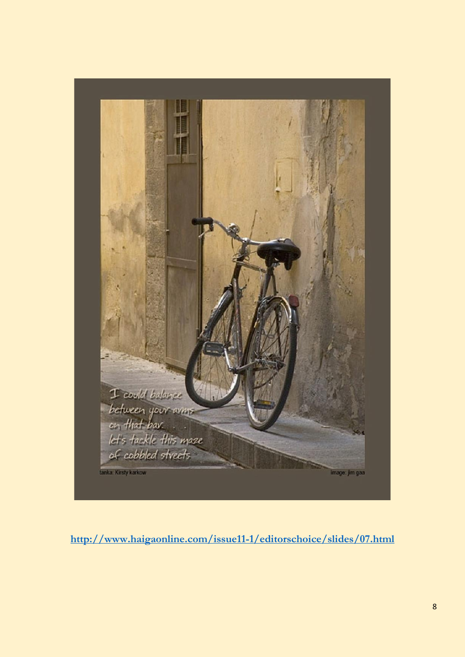

**<http://www.haigaonline.com/issue11-1/editorschoice/slides/07.html>**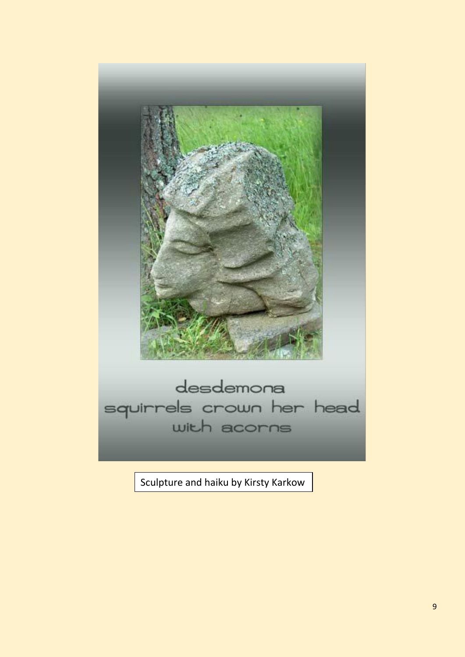

Sculpture and haiku by Kirsty Karkow